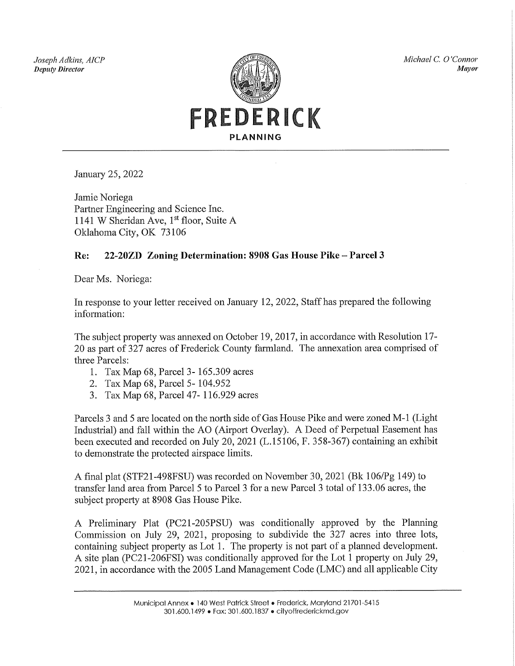Joseph Adkins, AICP **Deputy Director** 



Michael C. O'Connor **Mayor** 

January 25, 2022

Jamie Noriega Partner Engineering and Science Inc. 1141 W Sheridan Ave, 1st floor, Suite A Oklahoma City, OK 73106

### 22-20ZD Zoning Determination: 8908 Gas House Pike – Parcel 3 Re:

Dear Ms. Noriega:

In response to your letter received on January 12, 2022, Staff has prepared the following information:

The subject property was annexed on October 19, 2017, in accordance with Resolution 17-20 as part of 327 acres of Frederick County farmland. The annexation area comprised of three Parcels:

- 1. Tax Map 68, Parcel 3-165.309 acres
- 2. Tax Map 68, Parcel 5-104.952
- 3. Tax Map 68, Parcel 47-116.929 acres

Parcels 3 and 5 are located on the north side of Gas House Pike and were zoned M-1 (Light Industrial) and fall within the AO (Airport Overlay). A Deed of Perpetual Easement has been executed and recorded on July 20, 2021 (L.15106, F. 358-367) containing an exhibit to demonstrate the protected airspace limits.

A final plat (STF21-498FSU) was recorded on November 30, 2021 (Bk 106/Pg 149) to transfer land area from Parcel 5 to Parcel 3 for a new Parcel 3 total of 133.06 acres, the subject property at 8908 Gas House Pike.

A Preliminary Plat (PC21-205PSU) was conditionally approved by the Planning Commission on July 29, 2021, proposing to subdivide the 327 acres into three lots, containing subject property as Lot 1. The property is not part of a planned development. A site plan (PC21-206FSI) was conditionally approved for the Lot 1 property on July 29, 2021, in accordance with the 2005 Land Management Code (LMC) and all applicable City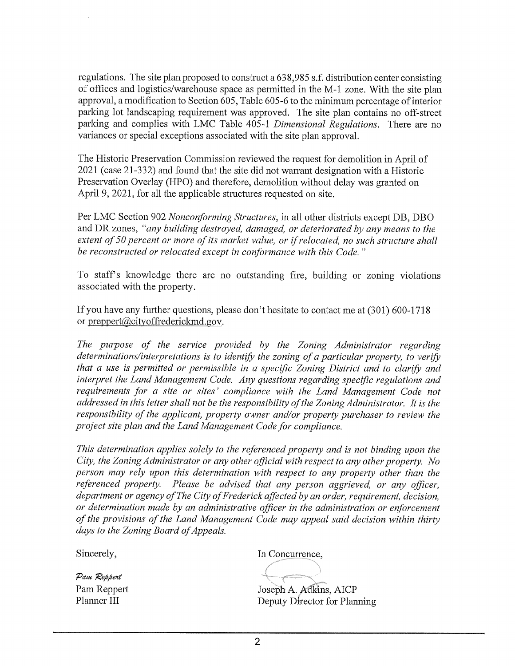regulations. The site plan proposed to construct a 638,985 s.f. distribution center consisting of offices and logistics/warehouse space as permitted in the M-1 zone. With the site plan approval, a modification to Section 605, Table 605-6 to the minimum percentage of interior parking lot landscaping requirement was approved. The site plan contains no off-street parking and complies with LMC Table 405-1 Dimensional Regulations. There are no variances or special exceptions associated with the site plan approval.

The Historic Preservation Commission reviewed the request for demolition in April of 2021 (case 21-332) and found that the site did not warrant designation with a Historic Preservation Overlay (HPO) and therefore, demolition without delay was granted on April 9, 2021, for all the applicable structures requested on site.

Per LMC Section 902 Nonconforming Structures, in all other districts except DB, DBO and DR zones, "any building destroyed, damaged, or deteriorated by any means to the extent of 50 percent or more of its market value, or if relocated, no such structure shall be reconstructed or relocated except in conformance with this Code."

To staff's knowledge there are no outstanding fire, building or zoning violations associated with the property.

If you have any further questions, please don't hesitate to contact me at (301) 600-1718 or preppert@cityoffrederickmd.gov.

The purpose of the service provided by the Zoning Administrator regarding determinations/interpretations is to identify the zoning of a particular property, to verify that a use is permitted or permissible in a specific Zoning District and to clarify and interpret the Land Management Code. Any questions regarding specific regulations and requirements for a site or sites' compliance with the Land Management Code not addressed in this letter shall not be the responsibility of the Zoning Administrator. It is the responsibility of the applicant, property owner and/or property purchaser to review the project site plan and the Land Management Code for compliance.

This determination applies solely to the referenced property and is not binding upon the City, the Zoning Administrator or any other official with respect to any other property. No person may rely upon this determination with respect to any property other than the referenced property. Please be advised that any person aggrieved, or any officer, department or agency of The City of Frederick affected by an order, requirement, decision, or determination made by an administrative officer in the administration or enforcement of the provisions of the Land Management Code may appeal said decision within thirty days to the Zoning Board of Appeals.

Sincerely,

Pam Reppert Pam Reppert Planner III

In Concurrence,

Joseph A. Adkins, AICP Deputy Director for Planning